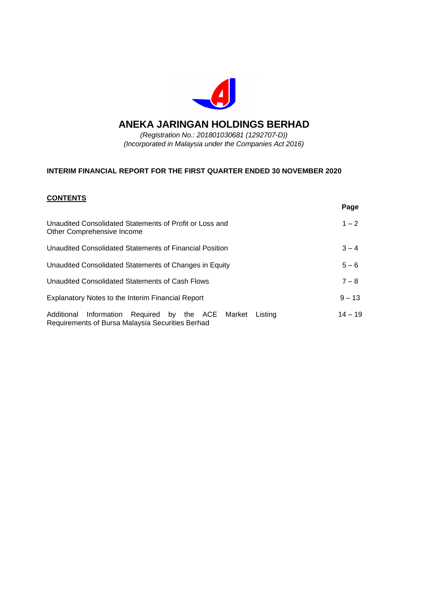

# **ANEKA JARINGAN HOLDINGS BERHAD**

*(Registration No.: 201801030681 (1292707-D)) (Incorporated in Malaysia under the Companies Act 2016)*

# **INTERIM FINANCIAL REPORT FOR THE FIRST QUARTER ENDED 30 NOVEMBER 2020**

## **CONTENTS**

|                                                                                                               | Page      |
|---------------------------------------------------------------------------------------------------------------|-----------|
| Unaudited Consolidated Statements of Profit or Loss and<br>Other Comprehensive Income                         | $1 - 2$   |
| Unaudited Consolidated Statements of Financial Position                                                       | $3 - 4$   |
| Unaudited Consolidated Statements of Changes in Equity                                                        | $5 - 6$   |
| Unaudited Consolidated Statements of Cash Flows                                                               | $7 - 8$   |
| <b>Explanatory Notes to the Interim Financial Report</b>                                                      | $9 - 13$  |
| Additional Information Required by the ACE Market Listing<br>Requirements of Bursa Malaysia Securities Berhad | $14 - 19$ |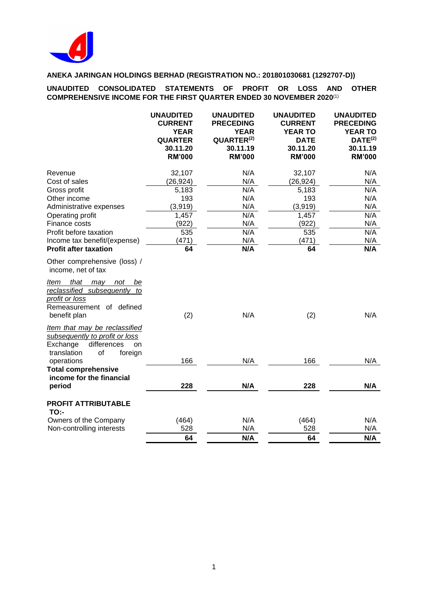

**UNAUDITED CONSOLIDATED STATEMENTS OF PROFIT OR LOSS AND OTHER COMPREHENSIVE INCOME FOR THE FIRST QUARTER ENDED 30 NOVEMBER 2020**(1)

|                                                                                                                                        | <b>UNAUDITED</b><br><b>CURRENT</b><br><b>YEAR</b><br><b>QUARTER</b><br>30.11.20<br><b>RM'000</b> | <b>UNAUDITED</b><br><b>PRECEDING</b><br><b>YEAR</b><br>QUARTER <sup>(2)</sup><br>30.11.19<br><b>RM'000</b> | <b>UNAUDITED</b><br><b>CURRENT</b><br><b>YEAR TO</b><br><b>DATE</b><br>30.11.20<br><b>RM'000</b> | <b>UNAUDITED</b><br><b>PRECEDING</b><br><b>YEAR TO</b><br>DATE <sup>(2)</sup><br>30.11.19<br><b>RM'000</b> |
|----------------------------------------------------------------------------------------------------------------------------------------|--------------------------------------------------------------------------------------------------|------------------------------------------------------------------------------------------------------------|--------------------------------------------------------------------------------------------------|------------------------------------------------------------------------------------------------------------|
| Revenue                                                                                                                                | 32,107                                                                                           | N/A                                                                                                        | 32,107                                                                                           | N/A                                                                                                        |
| Cost of sales                                                                                                                          | (26, 924)                                                                                        | N/A                                                                                                        | (26, 924)                                                                                        | N/A                                                                                                        |
| Gross profit                                                                                                                           | 5,183                                                                                            | N/A                                                                                                        | 5,183                                                                                            | N/A                                                                                                        |
| Other income                                                                                                                           | 193                                                                                              | N/A                                                                                                        | 193                                                                                              | N/A                                                                                                        |
| Administrative expenses                                                                                                                | (3,919)                                                                                          | N/A                                                                                                        | (3,919)                                                                                          | N/A                                                                                                        |
| Operating profit                                                                                                                       | 1,457                                                                                            | N/A                                                                                                        | 1,457                                                                                            | N/A                                                                                                        |
| Finance costs                                                                                                                          | (922)                                                                                            | N/A                                                                                                        | (922)                                                                                            | N/A                                                                                                        |
| Profit before taxation                                                                                                                 | 535                                                                                              | N/A                                                                                                        | 535                                                                                              | N/A                                                                                                        |
| Income tax benefit/(expense)                                                                                                           | (471)                                                                                            | N/A                                                                                                        | (471)                                                                                            | N/A                                                                                                        |
| <b>Profit after taxation</b>                                                                                                           | 64                                                                                               | N/A                                                                                                        | 64                                                                                               | N/A                                                                                                        |
| Other comprehensive (loss) /<br>income, net of tax                                                                                     |                                                                                                  |                                                                                                            |                                                                                                  |                                                                                                            |
| <u>Item that may</u><br>not<br><u>be</u><br>reclassified subsequently to<br>profit or loss<br>Remeasurement of defined<br>benefit plan | (2)                                                                                              | N/A                                                                                                        | (2)                                                                                              | N/A                                                                                                        |
| Item that may be reclassified                                                                                                          |                                                                                                  |                                                                                                            |                                                                                                  |                                                                                                            |
| subsequently to profit or loss<br>differences<br>Exchange<br>on<br>translation<br>of<br>foreign                                        |                                                                                                  |                                                                                                            |                                                                                                  |                                                                                                            |
| operations                                                                                                                             | 166                                                                                              | N/A                                                                                                        | 166                                                                                              | N/A                                                                                                        |
| <b>Total comprehensive</b><br>income for the financial<br>period                                                                       | 228                                                                                              | N/A                                                                                                        | 228                                                                                              | N/A                                                                                                        |
|                                                                                                                                        |                                                                                                  |                                                                                                            |                                                                                                  |                                                                                                            |
| <b>PROFIT ATTRIBUTABLE</b><br><b>TO:-</b>                                                                                              |                                                                                                  |                                                                                                            |                                                                                                  |                                                                                                            |
| Owners of the Company                                                                                                                  | (464)                                                                                            | N/A                                                                                                        | (464)                                                                                            | N/A                                                                                                        |
| Non-controlling interests                                                                                                              | 528                                                                                              | N/A                                                                                                        | 528                                                                                              | N/A                                                                                                        |
|                                                                                                                                        | 64                                                                                               | N/A                                                                                                        | 64                                                                                               | N/A                                                                                                        |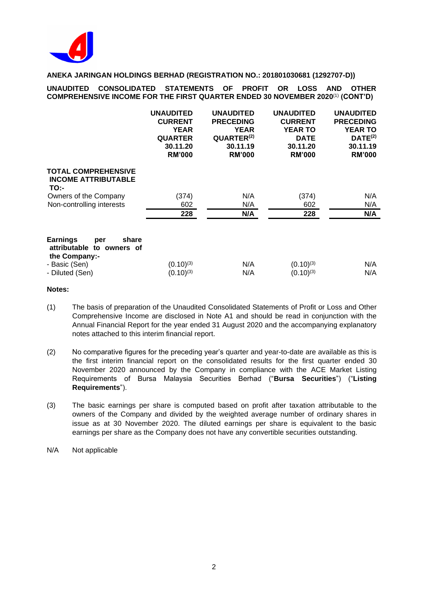

**UNAUDITED CONSOLIDATED STATEMENTS OF PROFIT OR LOSS AND OTHER COMPREHENSIVE INCOME FOR THE FIRST QUARTER ENDED 30 NOVEMBER 2020**(1) **(CONT'D)**

|                                                                                  | <b>UNAUDITED</b><br><b>CURRENT</b><br><b>YEAR</b><br><b>QUARTER</b><br>30.11.20<br><b>RM'000</b> | <b>UNAUDITED</b><br><b>PRECEDING</b><br><b>YEAR</b><br>QUARTER <sup>(2)</sup><br>30.11.19<br><b>RM'000</b> | <b>UNAUDITED</b><br><b>CURRENT</b><br><b>YEAR TO</b><br><b>DATE</b><br>30.11.20<br><b>RM'000</b> | <b>UNAUDITED</b><br><b>PRECEDING</b><br><b>YEAR TO</b><br>DATE <sup>(2)</sup><br>30.11.19<br><b>RM'000</b> |
|----------------------------------------------------------------------------------|--------------------------------------------------------------------------------------------------|------------------------------------------------------------------------------------------------------------|--------------------------------------------------------------------------------------------------|------------------------------------------------------------------------------------------------------------|
| <b>TOTAL COMPREHENSIVE</b><br><b>INCOME ATTRIBUTABLE</b><br>TO:-                 |                                                                                                  |                                                                                                            |                                                                                                  |                                                                                                            |
| Owners of the Company                                                            | (374)                                                                                            | N/A                                                                                                        | (374)                                                                                            | N/A                                                                                                        |
| Non-controlling interests                                                        | 602                                                                                              | N/A                                                                                                        | 602                                                                                              | N/A                                                                                                        |
|                                                                                  | 228                                                                                              | N/A                                                                                                        | 228                                                                                              | N/A                                                                                                        |
| <b>Earnings</b><br>share<br>per<br>attributable<br>to owners of<br>the Company:- |                                                                                                  |                                                                                                            |                                                                                                  |                                                                                                            |
| - Basic (Sen)                                                                    | $(0.10)^{(3)}$                                                                                   | N/A                                                                                                        | $(0.10)^{(3)}$                                                                                   | N/A                                                                                                        |
| - Diluted (Sen)                                                                  | $(0.10)^{(3)}$                                                                                   | N/A                                                                                                        | $(0.10)^{(3)}$                                                                                   | N/A                                                                                                        |

- (1) The basis of preparation of the Unaudited Consolidated Statements of Profit or Loss and Other Comprehensive Income are disclosed in Note A1 and should be read in conjunction with the Annual Financial Report for the year ended 31 August 2020 and the accompanying explanatory notes attached to this interim financial report.
- (2) No comparative figures for the preceding year's quarter and year-to-date are available as this is the first interim financial report on the consolidated results for the first quarter ended 30 November 2020 announced by the Company in compliance with the ACE Market Listing Requirements of Bursa Malaysia Securities Berhad ("**Bursa Securities**") ("**Listing Requirements**").
- (3) The basic earnings per share is computed based on profit after taxation attributable to the owners of the Company and divided by the weighted average number of ordinary shares in issue as at 30 November 2020. The diluted earnings per share is equivalent to the basic earnings per share as the Company does not have any convertible securities outstanding.

N/A Not applicable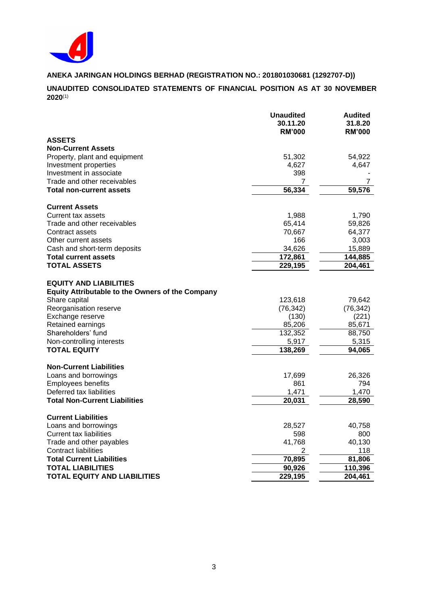

**UNAUDITED CONSOLIDATED STATEMENTS OF FINANCIAL POSITION AS AT 30 NOVEMBER 2020**(1)

|                                                                                                                                                                                                                                                        | <b>Unaudited</b><br>30.11.20<br><b>RM'000</b>                          | <b>Audited</b><br>31.8.20<br><b>RM'000</b>                          |
|--------------------------------------------------------------------------------------------------------------------------------------------------------------------------------------------------------------------------------------------------------|------------------------------------------------------------------------|---------------------------------------------------------------------|
| <b>ASSETS</b>                                                                                                                                                                                                                                          |                                                                        |                                                                     |
| <b>Non-Current Assets</b>                                                                                                                                                                                                                              |                                                                        |                                                                     |
| Property, plant and equipment                                                                                                                                                                                                                          | 51,302                                                                 | 54,922                                                              |
| Investment properties                                                                                                                                                                                                                                  | 4,627                                                                  | 4,647                                                               |
| Investment in associate                                                                                                                                                                                                                                | 398                                                                    |                                                                     |
| Trade and other receivables                                                                                                                                                                                                                            | 7                                                                      |                                                                     |
| <b>Total non-current assets</b>                                                                                                                                                                                                                        | 56,334                                                                 | 59,576                                                              |
| <b>Current Assets</b>                                                                                                                                                                                                                                  |                                                                        |                                                                     |
| Current tax assets                                                                                                                                                                                                                                     | 1,988                                                                  | 1,790                                                               |
| Trade and other receivables                                                                                                                                                                                                                            | 65,414                                                                 | 59,826                                                              |
| Contract assets                                                                                                                                                                                                                                        | 70,667                                                                 | 64,377                                                              |
| Other current assets                                                                                                                                                                                                                                   | 166                                                                    | 3,003                                                               |
| Cash and short-term deposits                                                                                                                                                                                                                           | 34,626                                                                 | 15,889                                                              |
| <b>Total current assets</b>                                                                                                                                                                                                                            | 172,861                                                                | 144,885                                                             |
| <b>TOTAL ASSETS</b>                                                                                                                                                                                                                                    | 229,195                                                                | 204,461                                                             |
| <b>EQUITY AND LIABILITIES</b><br><b>Equity Attributable to the Owners of the Company</b><br>Share capital<br>Reorganisation reserve<br>Exchange reserve<br>Retained earnings<br>Shareholders' fund<br>Non-controlling interests<br><b>TOTAL EQUITY</b> | 123,618<br>(76, 342)<br>(130)<br>85,206<br>132,352<br>5,917<br>138,269 | 79,642<br>(76, 342)<br>(221)<br>85,671<br>88,750<br>5,315<br>94.065 |
| <b>Non-Current Liabilities</b>                                                                                                                                                                                                                         |                                                                        |                                                                     |
| Loans and borrowings                                                                                                                                                                                                                                   | 17,699                                                                 | 26,326                                                              |
| <b>Employees benefits</b>                                                                                                                                                                                                                              | 861                                                                    | 794                                                                 |
| Deferred tax liabilities                                                                                                                                                                                                                               | 1,471                                                                  | 1,470                                                               |
| <b>Total Non-Current Liabilities</b>                                                                                                                                                                                                                   | 20,031                                                                 | 28,590                                                              |
| <b>Current Liabilities</b>                                                                                                                                                                                                                             |                                                                        |                                                                     |
| Loans and borrowings                                                                                                                                                                                                                                   | 28,527                                                                 | 40,758                                                              |
| <b>Current tax liabilities</b>                                                                                                                                                                                                                         | 598                                                                    | 800                                                                 |
| Trade and other payables                                                                                                                                                                                                                               | 41,768                                                                 | 40,130                                                              |
| Contract liabilities                                                                                                                                                                                                                                   | $\overline{2}$                                                         | 118                                                                 |
| <b>Total Current Liabilities</b>                                                                                                                                                                                                                       | 70,895                                                                 | 81,806                                                              |
| <b>TOTAL LIABILITIES</b>                                                                                                                                                                                                                               | 90,926                                                                 | 110,396                                                             |
| TOTAL EQUITY AND LIABILITIES                                                                                                                                                                                                                           | 229,195                                                                | 204,461                                                             |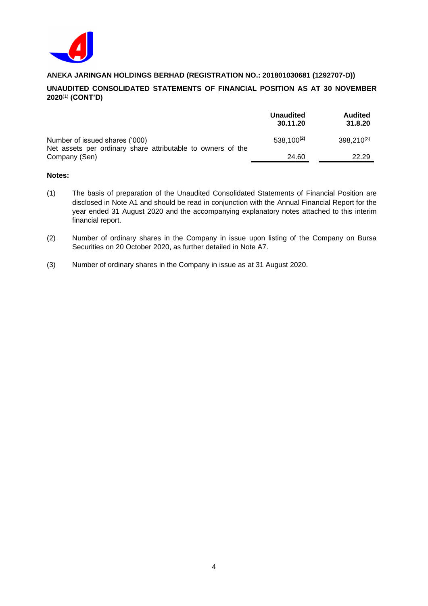

# **UNAUDITED CONSOLIDATED STATEMENTS OF FINANCIAL POSITION AS AT 30 NOVEMBER 2020**(1) **(CONT'D)**

|                                                                                               | <b>Unaudited</b><br>30.11.20 | <b>Audited</b><br>31.8.20 |
|-----------------------------------------------------------------------------------------------|------------------------------|---------------------------|
| Number of issued shares ('000)<br>Net assets per ordinary share attributable to owners of the | $538,100^{(2)}$              | $398,210^{(3)}$           |
| Company (Sen)                                                                                 | 24.60                        | 22.29                     |

- (1) The basis of preparation of the Unaudited Consolidated Statements of Financial Position are disclosed in Note A1 and should be read in conjunction with the Annual Financial Report for the year ended 31 August 2020 and the accompanying explanatory notes attached to this interim financial report.
- (2) Number of ordinary shares in the Company in issue upon listing of the Company on Bursa Securities on 20 October 2020, as further detailed in Note A7.
- (3) Number of ordinary shares in the Company in issue as at 31 August 2020.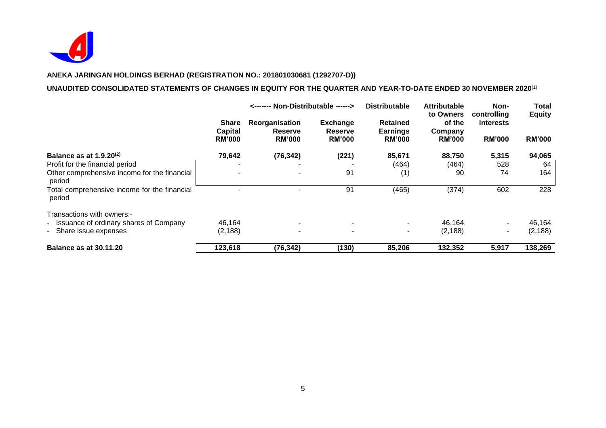

# **UNAUDITED CONSOLIDATED STATEMENTS OF CHANGES IN EQUITY FOR THE QUARTER AND YEAR-TO-DATE ENDED 30 NOVEMBER 2020**(1)

|                                                        |                                          | <------ Non-Distributable ------>                 |                                             | <b>Distributable</b>                                | <b>Attributable</b><br>to Owners   | Non-<br>controlling        | Total<br><b>Equity</b> |
|--------------------------------------------------------|------------------------------------------|---------------------------------------------------|---------------------------------------------|-----------------------------------------------------|------------------------------------|----------------------------|------------------------|
|                                                        | <b>Share</b><br>Capital<br><b>RM'000</b> | Reorganisation<br><b>Reserve</b><br><b>RM'000</b> | <b>Exchange</b><br>Reserve<br><b>RM'000</b> | <b>Retained</b><br><b>Earnings</b><br><b>RM'000</b> | of the<br>Company<br><b>RM'000</b> | interests<br><b>RM'000</b> | <b>RM'000</b>          |
| Balance as at $1.9.20^{(2)}$                           | 79,642                                   | (76, 342)                                         | (221)                                       | 85,671                                              | 88,750                             | 5,315                      | 94,065                 |
| Profit for the financial period                        | ٠                                        |                                                   |                                             | (464)                                               | (464)                              | 528                        | 64                     |
| Other comprehensive income for the financial<br>period |                                          |                                                   | 91                                          | (1)                                                 | 90                                 | 74                         | 164                    |
| Total comprehensive income for the financial<br>period |                                          |                                                   | 91                                          | (465)                                               | (374)                              | 602                        | 228                    |
| Transactions with owners:-                             |                                          |                                                   |                                             |                                                     |                                    |                            |                        |
| - Issuance of ordinary shares of Company               | 46,164                                   | ۰.                                                | $\overline{\phantom{0}}$                    | $\sim$                                              | 46,164                             |                            | 46,164                 |
| - Share issue expenses                                 | (2, 188)                                 | $\blacksquare$                                    | $\overline{\phantom{0}}$                    | $\sim$                                              | (2, 188)                           | ۰.                         | (2, 188)               |
| <b>Balance as at 30.11.20</b>                          | 123,618                                  | (76, 342)                                         | (130)                                       | 85,206                                              | 132,352                            | 5,917                      | 138,269                |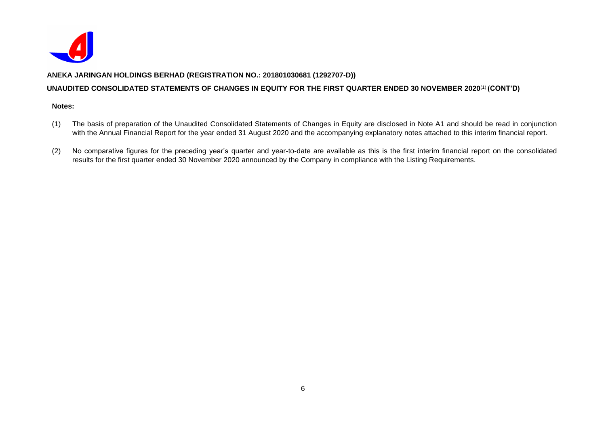

## **UNAUDITED CONSOLIDATED STATEMENTS OF CHANGES IN EQUITY FOR THE FIRST QUARTER ENDED 30 NOVEMBER 2020**(1) **(CONT'D)**

- (1) The basis of preparation of the Unaudited Consolidated Statements of Changes in Equity are disclosed in Note A1 and should be read in conjunction with the Annual Financial Report for the year ended 31 August 2020 and the accompanying explanatory notes attached to this interim financial report.
- (2) No comparative figures for the preceding year's quarter and year-to-date are available as this is the first interim financial report on the consolidated results for the first quarter ended 30 November 2020 announced by the Company in compliance with the Listing Requirements.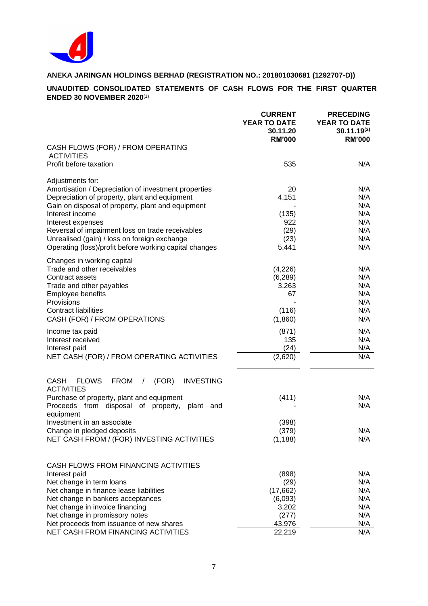

## **UNAUDITED CONSOLIDATED STATEMENTS OF CASH FLOWS FOR THE FIRST QUARTER ENDED 30 NOVEMBER 2020**(1)

|                                                                                                          | <b>CURRENT</b><br><b>YEAR TO DATE</b><br>30.11.20<br><b>RM'000</b> | <b>PRECEDING</b><br><b>YEAR TO DATE</b><br>$30.11.19^{(2)}$<br><b>RM'000</b> |
|----------------------------------------------------------------------------------------------------------|--------------------------------------------------------------------|------------------------------------------------------------------------------|
| CASH FLOWS (FOR) / FROM OPERATING<br><b>ACTIVITIES</b>                                                   |                                                                    |                                                                              |
| Profit before taxation                                                                                   | 535                                                                | N/A                                                                          |
| Adjustments for:                                                                                         |                                                                    |                                                                              |
| Amortisation / Depreciation of investment properties<br>Depreciation of property, plant and equipment    | 20<br>4,151                                                        | N/A<br>N/A                                                                   |
| Gain on disposal of property, plant and equipment                                                        |                                                                    | N/A                                                                          |
| Interest income                                                                                          | (135)                                                              | N/A                                                                          |
| Interest expenses                                                                                        | 922                                                                | N/A<br>N/A                                                                   |
| Reversal of impairment loss on trade receivables<br>Unrealised (gain) / loss on foreign exchange         | (29)<br>(23)                                                       | N/A                                                                          |
| Operating (loss)/profit before working capital changes                                                   | 5,441                                                              | N/A                                                                          |
| Changes in working capital                                                                               |                                                                    |                                                                              |
| Trade and other receivables<br>Contract assets                                                           | (4,226)<br>(6, 289)                                                | N/A<br>N/A                                                                   |
| Trade and other payables                                                                                 | 3,263                                                              | N/A                                                                          |
| Employee benefits                                                                                        | 67                                                                 | N/A                                                                          |
| Provisions                                                                                               |                                                                    | N/A                                                                          |
| <b>Contract liabilities</b>                                                                              | (116)                                                              | N/A                                                                          |
| CASH (FOR) / FROM OPERATIONS                                                                             | (1,860)                                                            | N/A                                                                          |
| Income tax paid                                                                                          | (871)                                                              | N/A                                                                          |
| Interest received                                                                                        | 135                                                                | N/A                                                                          |
| Interest paid                                                                                            | (24)                                                               | N/A<br>N/A                                                                   |
| NET CASH (FOR) / FROM OPERATING ACTIVITIES                                                               | (2,620)                                                            |                                                                              |
| <b>INVESTING</b><br><b>CASH</b><br><b>FLOWS</b><br><b>FROM</b><br>(FOR)<br>$\prime$<br><b>ACTIVITIES</b> |                                                                    |                                                                              |
| Purchase of property, plant and equipment                                                                | (411)                                                              | N/A                                                                          |
| from disposal of property,<br>Proceeds<br>plant<br>and<br>equipment                                      |                                                                    | N/A                                                                          |
| Investment in an associate                                                                               | (398)                                                              |                                                                              |
| Change in pledged deposits                                                                               | (379)                                                              | N/A                                                                          |
| NET CASH FROM / (FOR) INVESTING ACTIVITIES                                                               | (1, 188)                                                           | N/A                                                                          |
| CASH FLOWS FROM FINANCING ACTIVITIES                                                                     |                                                                    |                                                                              |
| Interest paid                                                                                            | (898)                                                              | N/A                                                                          |
| Net change in term loans                                                                                 | (29)                                                               | N/A                                                                          |
| Net change in finance lease liabilities                                                                  | (17, 662)                                                          | N/A                                                                          |
| Net change in bankers acceptances                                                                        | (6,093)                                                            | N/A                                                                          |
| Net change in invoice financing                                                                          | 3,202                                                              | N/A                                                                          |
| Net change in promissory notes<br>Net proceeds from issuance of new shares                               | (277)<br>43,976                                                    | N/A<br>N/A                                                                   |
| NET CASH FROM FINANCING ACTIVITIES                                                                       | 22,219                                                             | N/A                                                                          |
|                                                                                                          |                                                                    |                                                                              |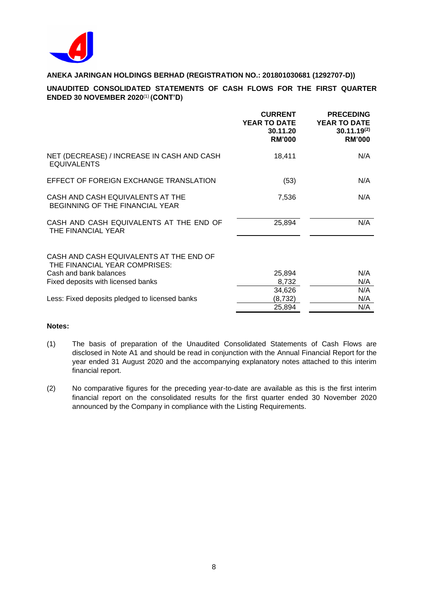

# **UNAUDITED CONSOLIDATED STATEMENTS OF CASH FLOWS FOR THE FIRST QUARTER ENDED 30 NOVEMBER 2020**(1) **(CONT'D)**

|                                                                          | <b>CURRENT</b><br><b>YEAR TO DATE</b><br>30.11.20<br><b>RM'000</b> | <b>PRECEDING</b><br><b>YEAR TO DATE</b><br>$30.11.19^{(2)}$<br><b>RM'000</b> |
|--------------------------------------------------------------------------|--------------------------------------------------------------------|------------------------------------------------------------------------------|
| NET (DECREASE) / INCREASE IN CASH AND CASH<br><b>EQUIVALENTS</b>         | 18,411                                                             | N/A                                                                          |
| EFFECT OF FOREIGN EXCHANGE TRANSLATION                                   | (53)                                                               | N/A                                                                          |
| CASH AND CASH EQUIVALENTS AT THE<br>BEGINNING OF THE FINANCIAL YEAR      | 7,536                                                              | N/A                                                                          |
| CASH AND CASH EQUIVALENTS AT THE END OF<br>THE FINANCIAL YEAR            | 25,894                                                             | N/A                                                                          |
| CASH AND CASH EQUIVALENTS AT THE END OF<br>THE FINANCIAL YEAR COMPRISES: |                                                                    |                                                                              |
| Cash and bank balances                                                   | 25,894                                                             | N/A                                                                          |
| Fixed deposits with licensed banks                                       | 8,732                                                              | N/A                                                                          |
|                                                                          | 34,626                                                             | N/A                                                                          |
| Less: Fixed deposits pledged to licensed banks                           | (8, 732)                                                           | N/A                                                                          |
|                                                                          | 25,894                                                             | N/A                                                                          |

- (1) The basis of preparation of the Unaudited Consolidated Statements of Cash Flows are disclosed in Note A1 and should be read in conjunction with the Annual Financial Report for the year ended 31 August 2020 and the accompanying explanatory notes attached to this interim financial report.
- (2) No comparative figures for the preceding year-to-date are available as this is the first interim financial report on the consolidated results for the first quarter ended 30 November 2020 announced by the Company in compliance with the Listing Requirements.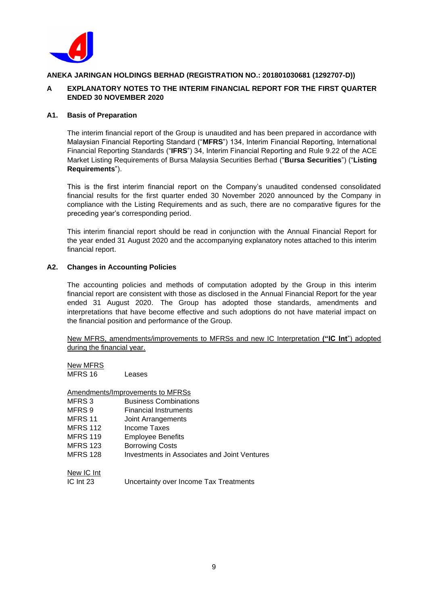

## **A EXPLANATORY NOTES TO THE INTERIM FINANCIAL REPORT FOR THE FIRST QUARTER ENDED 30 NOVEMBER 2020**

## **A1. Basis of Preparation**

The interim financial report of the Group is unaudited and has been prepared in accordance with Malaysian Financial Reporting Standard ("**MFRS**") 134, Interim Financial Reporting, International Financial Reporting Standards ("**IFRS**") 34, Interim Financial Reporting and Rule 9.22 of the ACE Market Listing Requirements of Bursa Malaysia Securities Berhad ("**Bursa Securities**") ("**Listing Requirements**").

This is the first interim financial report on the Company's unaudited condensed consolidated financial results for the first quarter ended 30 November 2020 announced by the Company in compliance with the Listing Requirements and as such, there are no comparative figures for the preceding year's corresponding period.

This interim financial report should be read in conjunction with the Annual Financial Report for the year ended 31 August 2020 and the accompanying explanatory notes attached to this interim financial report.

## **A2. Changes in Accounting Policies**

The accounting policies and methods of computation adopted by the Group in this interim financial report are consistent with those as disclosed in the Annual Financial Report for the year ended 31 August 2020. The Group has adopted those standards, amendments and interpretations that have become effective and such adoptions do not have material impact on the financial position and performance of the Group.

New MFRS, amendments/improvements to MFRSs and new IC Interpretation **("IC Int**") adopted during the financial year.

| New MFRS |        |
|----------|--------|
| MFRS 16  | Leases |

|                   | Amendments/Improvements to MFRSs                    |
|-------------------|-----------------------------------------------------|
| MFRS <sub>3</sub> | <b>Business Combinations</b>                        |
| MFRS <sub>9</sub> | Financial Instruments                               |
| MFRS 11           | Joint Arrangements                                  |
| <b>MFRS 112</b>   | Income Taxes                                        |
| <b>MFRS 119</b>   | Employee Benefits                                   |
| <b>MFRS 123</b>   | <b>Borrowing Costs</b>                              |
| <b>MFRS 128</b>   | <b>Investments in Associates and Joint Ventures</b> |
| New IC Int        |                                                     |
| $IC$ Int $23$     | Uncertainty over Income Tax Treatments              |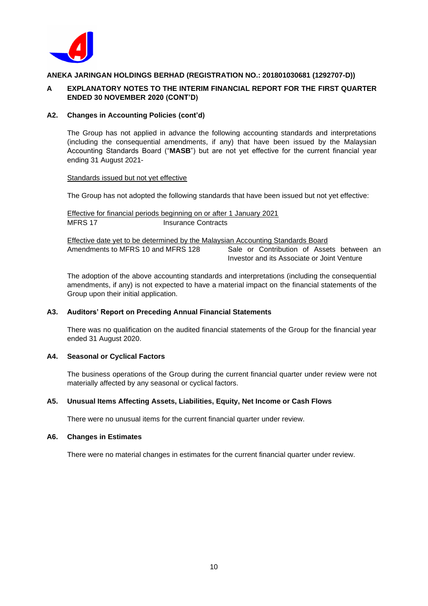

## **A EXPLANATORY NOTES TO THE INTERIM FINANCIAL REPORT FOR THE FIRST QUARTER ENDED 30 NOVEMBER 2020 (CONT'D)**

## **A2. Changes in Accounting Policies (cont'd)**

The Group has not applied in advance the following accounting standards and interpretations (including the consequential amendments, if any) that have been issued by the Malaysian Accounting Standards Board ("**MASB**") but are not yet effective for the current financial year ending 31 August 2021-

#### Standards issued but not yet effective

The Group has not adopted the following standards that have been issued but not yet effective:

Effective for financial periods beginning on or after 1 January 2021 MFRS 17 Insurance Contracts

Effective date yet to be determined by the Malaysian Accounting Standards Board Amendments to MFRS 10 and MFRS 128 Sale or Contribution of Assets between an Investor and its Associate or Joint Venture

The adoption of the above accounting standards and interpretations (including the consequential amendments, if any) is not expected to have a material impact on the financial statements of the Group upon their initial application.

## **A3. Auditors' Report on Preceding Annual Financial Statements**

There was no qualification on the audited financial statements of the Group for the financial year ended 31 August 2020.

#### **A4. Seasonal or Cyclical Factors**

The business operations of the Group during the current financial quarter under review were not materially affected by any seasonal or cyclical factors.

#### **A5. Unusual Items Affecting Assets, Liabilities, Equity, Net Income or Cash Flows**

There were no unusual items for the current financial quarter under review.

## **A6. Changes in Estimates**

There were no material changes in estimates for the current financial quarter under review.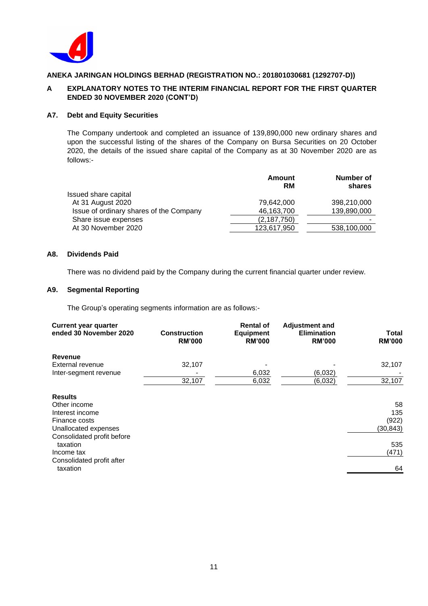

## **A EXPLANATORY NOTES TO THE INTERIM FINANCIAL REPORT FOR THE FIRST QUARTER ENDED 30 NOVEMBER 2020 (CONT'D)**

## **A7. Debt and Equity Securities**

The Company undertook and completed an issuance of 139,890,000 new ordinary shares and upon the successful listing of the shares of the Company on Bursa Securities on 20 October 2020, the details of the issued share capital of the Company as at 30 November 2020 are as follows:-

|                                         | Amount<br>RM | Number of<br>shares |
|-----------------------------------------|--------------|---------------------|
| Issued share capital                    |              |                     |
| At 31 August 2020                       | 79.642.000   | 398,210,000         |
| Issue of ordinary shares of the Company | 46,163,700   | 139,890,000         |
| Share issue expenses                    | (2,187,750)  |                     |
| At 30 November 2020                     | 123,617,950  | 538,100,000         |
|                                         |              |                     |

## **A8. Dividends Paid**

There was no dividend paid by the Company during the current financial quarter under review.

## **A9. Segmental Reporting**

The Group's operating segments information are as follows:-

| <b>Current year quarter</b><br>ended 30 November 2020 | <b>Construction</b><br><b>RM'000</b> | <b>Rental of</b><br><b>Equipment</b><br><b>RM'000</b> | <b>Adjustment and</b><br><b>Elimination</b><br><b>RM'000</b> | Total<br><b>RM'000</b> |
|-------------------------------------------------------|--------------------------------------|-------------------------------------------------------|--------------------------------------------------------------|------------------------|
| Revenue                                               |                                      |                                                       |                                                              |                        |
| External revenue                                      | 32,107                               |                                                       |                                                              | 32,107                 |
| Inter-segment revenue                                 |                                      | 6,032                                                 | (6,032)                                                      |                        |
|                                                       | 32,107                               | 6,032                                                 | (6,032)                                                      | 32,107                 |
| <b>Results</b>                                        |                                      |                                                       |                                                              |                        |
| Other income                                          |                                      |                                                       |                                                              | 58                     |
| Interest income                                       |                                      |                                                       |                                                              | 135                    |
| Finance costs                                         |                                      |                                                       |                                                              | (922)                  |
| Unallocated expenses                                  |                                      |                                                       |                                                              | (30, 843)              |
| Consolidated profit before                            |                                      |                                                       |                                                              |                        |
| taxation                                              |                                      |                                                       |                                                              | 535                    |
| Income tax                                            |                                      |                                                       |                                                              | (471)                  |
| Consolidated profit after                             |                                      |                                                       |                                                              |                        |
| taxation                                              |                                      |                                                       |                                                              | 64                     |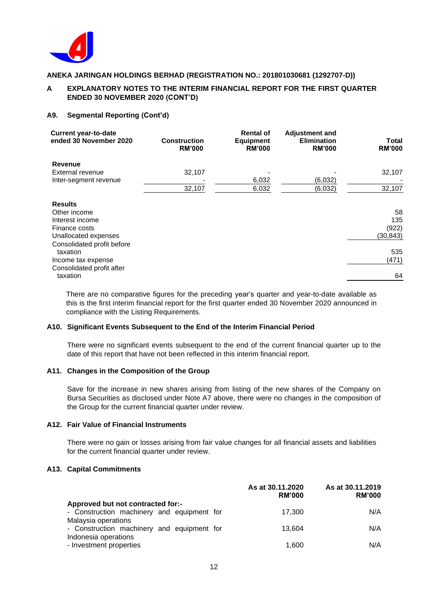

## **A EXPLANATORY NOTES TO THE INTERIM FINANCIAL REPORT FOR THE FIRST QUARTER ENDED 30 NOVEMBER 2020 (CONT'D)**

## **A9. Segmental Reporting (Cont'd)**

| <b>Current year-to-date</b><br>ended 30 November 2020 | <b>Construction</b><br><b>RM'000</b> | <b>Rental of</b><br><b>Equipment</b><br><b>RM'000</b> | <b>Adjustment and</b><br><b>Elimination</b><br><b>RM'000</b> | Total<br><b>RM'000</b> |
|-------------------------------------------------------|--------------------------------------|-------------------------------------------------------|--------------------------------------------------------------|------------------------|
| <b>Revenue</b>                                        |                                      |                                                       |                                                              |                        |
| External revenue                                      | 32,107                               |                                                       |                                                              | 32,107                 |
| Inter-segment revenue                                 |                                      | 6,032                                                 | (6,032)                                                      |                        |
|                                                       | 32,107                               | 6,032                                                 | (6,032)                                                      | 32,107                 |
| <b>Results</b>                                        |                                      |                                                       |                                                              |                        |
| Other income                                          |                                      |                                                       |                                                              | 58                     |
| Interest income                                       |                                      |                                                       |                                                              | 135                    |
| Finance costs                                         |                                      |                                                       |                                                              | (922)                  |
| Unallocated expenses                                  |                                      |                                                       |                                                              | (30, 843)              |
| Consolidated profit before<br>taxation                |                                      |                                                       |                                                              | 535                    |
| Income tax expense                                    |                                      |                                                       |                                                              | (471)                  |
| Consolidated profit after<br>taxation                 |                                      |                                                       |                                                              | 64                     |

There are no comparative figures for the preceding year's quarter and year-to-date available as this is the first interim financial report for the first quarter ended 30 November 2020 announced in compliance with the Listing Requirements.

#### **A10. Significant Events Subsequent to the End of the Interim Financial Period**

There were no significant events subsequent to the end of the current financial quarter up to the date of this report that have not been reflected in this interim financial report.

#### **A11. Changes in the Composition of the Group**

Save for the increase in new shares arising from listing of the new shares of the Company on Bursa Securities as disclosed under Note A7 above, there were no changes in the composition of the Group for the current financial quarter under review.

## **A12. Fair Value of Financial Instruments**

There were no gain or losses arising from fair value changes for all financial assets and liabilities for the current financial quarter under review.

## **A13. Capital Commitments**

|                                                 | As at 30.11.2020<br><b>RM'000</b> | As at 30.11.2019<br><b>RM'000</b> |
|-------------------------------------------------|-----------------------------------|-----------------------------------|
| Approved but not contracted for:-               |                                   |                                   |
| - Construction machinery and equipment for      | 17.300                            | N/A                               |
| Malaysia operations                             |                                   |                                   |
| - Construction machinery and equipment for      | 13.604                            | N/A                               |
| Indonesia operations<br>- Investment properties | 1,600                             | N/A                               |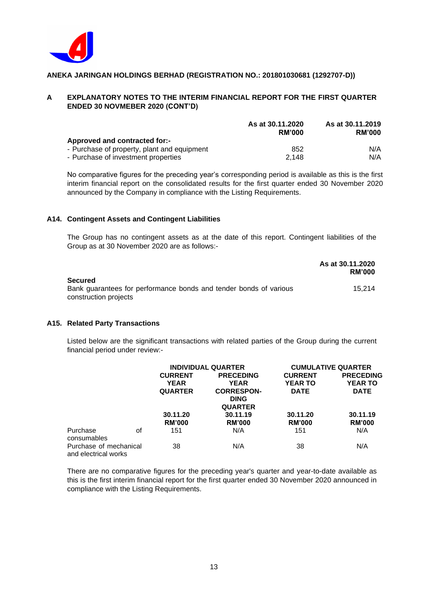

## **A EXPLANATORY NOTES TO THE INTERIM FINANCIAL REPORT FOR THE FIRST QUARTER ENDED 30 NOVMEBER 2020 (CONT'D)**

|                                             | As at 30.11.2020<br><b>RM'000</b> | As at 30.11.2019<br><b>RM'000</b> |
|---------------------------------------------|-----------------------------------|-----------------------------------|
| Approved and contracted for:-               |                                   |                                   |
| - Purchase of property, plant and equipment | 852                               | N/A                               |
| - Purchase of investment properties         | 2.148                             | N/A                               |

No comparative figures for the preceding year's corresponding period is available as this is the first interim financial report on the consolidated results for the first quarter ended 30 November 2020 announced by the Company in compliance with the Listing Requirements.

## **A14. Contingent Assets and Contingent Liabilities**

The Group has no contingent assets as at the date of this report. Contingent liabilities of the Group as at 30 November 2020 are as follows:-

|                                                                   | As at 30.11.2020<br><b>RM'000</b> |
|-------------------------------------------------------------------|-----------------------------------|
| <b>Secured</b>                                                    |                                   |
| Bank guarantees for performance bonds and tender bonds of various | 15.214                            |
| construction projects                                             |                                   |

#### **A15. Related Party Transactions**

Listed below are the significant transactions with related parties of the Group during the current financial period under review:-

|                                                |    | <b>INDIVIDUAL QUARTER</b> |                   |                | <b>CUMULATIVE QUARTER</b> |
|------------------------------------------------|----|---------------------------|-------------------|----------------|---------------------------|
|                                                |    | <b>CURRENT</b>            | <b>PRECEDING</b>  | <b>CURRENT</b> | <b>PRECEDING</b>          |
|                                                |    | <b>YEAR</b>               | <b>YEAR</b>       | <b>YEAR TO</b> | <b>YEAR TO</b>            |
|                                                |    | <b>QUARTER</b>            | <b>CORRESPON-</b> | <b>DATE</b>    | <b>DATE</b>               |
|                                                |    |                           | <b>DING</b>       |                |                           |
|                                                |    |                           | <b>QUARTER</b>    |                |                           |
|                                                |    | 30.11.20                  | 30.11.19          | 30.11.20       | 30.11.19                  |
|                                                |    | <b>RM'000</b>             | <b>RM'000</b>     | <b>RM'000</b>  | <b>RM'000</b>             |
| Purchase<br>consumables                        | οf | 151                       | N/A               | 151            | N/A                       |
| Purchase of mechanical<br>and electrical works |    | 38                        | N/A               | 38             | N/A                       |

There are no comparative figures for the preceding year's quarter and year-to-date available as this is the first interim financial report for the first quarter ended 30 November 2020 announced in compliance with the Listing Requirements.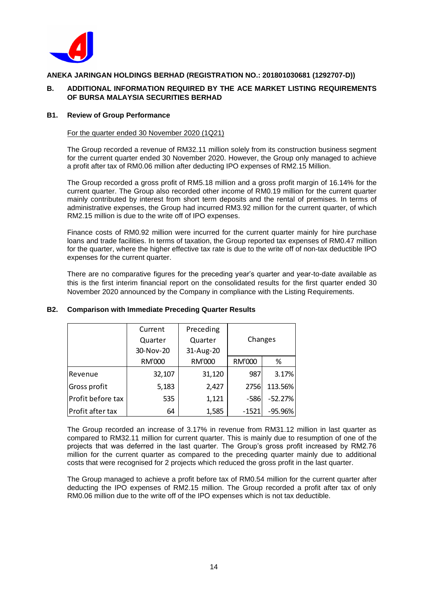

## **B. ADDITIONAL INFORMATION REQUIRED BY THE ACE MARKET LISTING REQUIREMENTS OF BURSA MALAYSIA SECURITIES BERHAD**

#### **B1. Review of Group Performance**

#### For the quarter ended 30 November 2020 (1Q21)

The Group recorded a revenue of RM32.11 million solely from its construction business segment for the current quarter ended 30 November 2020. However, the Group only managed to achieve a profit after tax of RM0.06 million after deducting IPO expenses of RM2.15 Million.

The Group recorded a gross profit of RM5.18 million and a gross profit margin of 16.14% for the current quarter. The Group also recorded other income of RM0.19 million for the current quarter mainly contributed by interest from short term deposits and the rental of premises. In terms of administrative expenses, the Group had incurred RM3.92 million for the current quarter, of which RM2.15 million is due to the write off of IPO expenses.

Finance costs of RM0.92 million were incurred for the current quarter mainly for hire purchase loans and trade facilities. In terms of taxation, the Group reported tax expenses of RM0.47 million for the quarter, where the higher effective tax rate is due to the write off of non-tax deductible IPO expenses for the current quarter.

There are no comparative figures for the preceding year's quarter and year-to-date available as this is the first interim financial report on the consolidated results for the first quarter ended 30 November 2020 announced by the Company in compliance with the Listing Requirements.

|                   | Current   | Preceding     |               |           |
|-------------------|-----------|---------------|---------------|-----------|
|                   | Quarter   | Quarter       | Changes       |           |
|                   | 30-Nov-20 | 31-Aug-20     |               |           |
|                   | RM'000    | <b>RM'000</b> | <b>RM'000</b> | %         |
| Revenue           | 32,107    | 31,120        | 987           | 3.17%     |
| Gross profit      | 5,183     | 2,427         | 2756          | 113.56%   |
| Profit before tax | 535       | 1,121         | $-586$        | $-52.27%$ |
| Profit after tax  | 64        | 1,585         | $-1521$       | $-95.96%$ |

## **B2. Comparison with Immediate Preceding Quarter Results**

The Group recorded an increase of 3.17% in revenue from RM31.12 million in last quarter as compared to RM32.11 million for current quarter. This is mainly due to resumption of one of the projects that was deferred in the last quarter. The Group's gross profit increased by RM2.76 million for the current quarter as compared to the preceding quarter mainly due to additional costs that were recognised for 2 projects which reduced the gross profit in the last quarter.

The Group managed to achieve a profit before tax of RM0.54 million for the current quarter after deducting the IPO expenses of RM2.15 million. The Group recorded a profit after tax of only RM0.06 million due to the write off of the IPO expenses which is not tax deductible.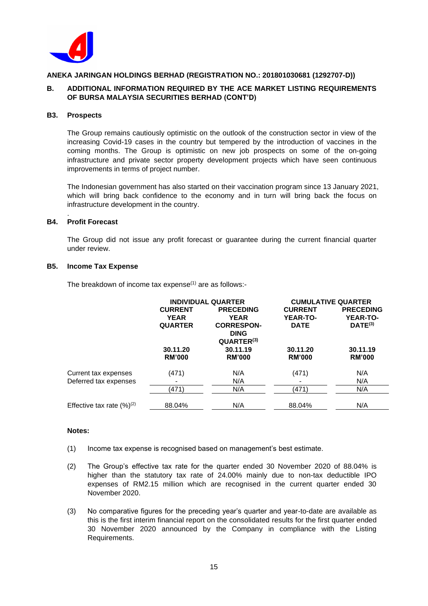

## **B. ADDITIONAL INFORMATION REQUIRED BY THE ACE MARKET LISTING REQUIREMENTS OF BURSA MALAYSIA SECURITIES BERHAD (CONT'D)**

#### **B3. Prospects**

The Group remains cautiously optimistic on the outlook of the construction sector in view of the increasing Covid-19 cases in the country but tempered by the introduction of vaccines in the coming months. The Group is optimistic on new job prospects on some of the on-going infrastructure and private sector property development projects which have seen continuous improvements in terms of project number.

The Indonesian government has also started on their vaccination program since 13 January 2021, which will bring back confidence to the economy and in turn will bring back the focus on infrastructure development in the country.

#### . **B4. Profit Forecast**

The Group did not issue any profit forecast or guarantee during the current financial quarter under review.

## **B5. Income Tax Expense**

The breakdown of income tax expense $(1)$  are as follows:-

| <b>INDIVIDUAL QUARTER</b> |                                    | <b>CUMULATIVE QUARTER</b>                           |                                    |
|---------------------------|------------------------------------|-----------------------------------------------------|------------------------------------|
| <b>CURRENT</b>            | <b>PRECEDING</b>                   | <b>CURRENT</b>                                      | <b>PRECEDING</b>                   |
| <b>YEAR</b>               | <b>YEAR</b>                        | <b>YEAR-TO-</b>                                     | <b>YEAR-TO-</b>                    |
| <b>QUARTER</b>            | <b>CORRESPON-</b>                  | <b>DATE</b>                                         | $DATE^{(3)}$                       |
|                           | <b>DING</b>                        |                                                     |                                    |
|                           |                                    |                                                     |                                    |
|                           |                                    |                                                     | 30.11.19                           |
|                           |                                    |                                                     | <b>RM'000</b>                      |
|                           | N/A                                |                                                     | N/A                                |
|                           | N/A                                |                                                     | N/A                                |
| (471)                     | N/A                                | (471)                                               | N/A                                |
| 88.04%                    | N/A                                | 88.04%                                              | N/A                                |
|                           | 30.11.20<br><b>RM'000</b><br>(471) | QUARTER <sup>(3)</sup><br>30.11.19<br><b>RM'000</b> | 30.11.20<br><b>RM'000</b><br>(471) |

- (1) Income tax expense is recognised based on management's best estimate.
- (2) The Group's effective tax rate for the quarter ended 30 November 2020 of 88.04% is higher than the statutory tax rate of 24.00% mainly due to non-tax deductible IPO expenses of RM2.15 million which are recognised in the current quarter ended 30 November 2020.
- (3) No comparative figures for the preceding year's quarter and year-to-date are available as this is the first interim financial report on the consolidated results for the first quarter ended 30 November 2020 announced by the Company in compliance with the Listing Requirements.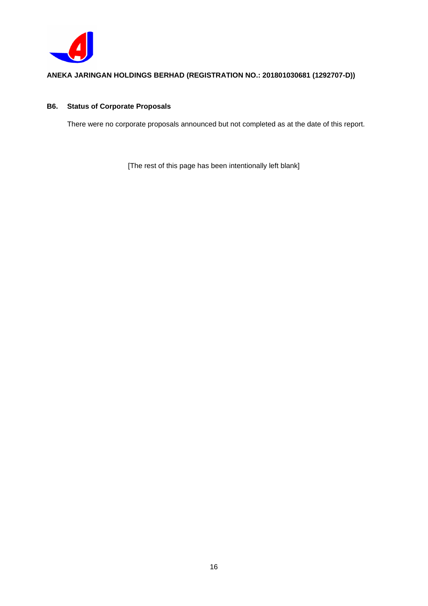

# **B6. Status of Corporate Proposals**

There were no corporate proposals announced but not completed as at the date of this report.

[The rest of this page has been intentionally left blank]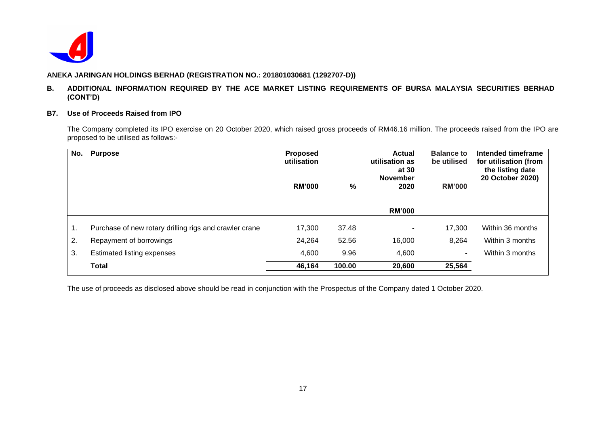

## **B. ADDITIONAL INFORMATION REQUIRED BY THE ACE MARKET LISTING REQUIREMENTS OF BURSA MALAYSIA SECURITIES BERHAD (CONT'D)**

#### **B7. Use of Proceeds Raised from IPO**

The Company completed its IPO exercise on 20 October 2020, which raised gross proceeds of RM46.16 million. The proceeds raised from the IPO are proposed to be utilised as follows:-

| No. | <b>Purpose</b>                                         | Proposed<br>utilisation |        | <b>Actual</b><br>utilisation as<br>at 30<br><b>November</b> | <b>Balance to</b><br>be utilised | Intended timeframe<br>for utilisation (from<br>the listing date<br>20 October 2020) |
|-----|--------------------------------------------------------|-------------------------|--------|-------------------------------------------------------------|----------------------------------|-------------------------------------------------------------------------------------|
|     |                                                        | <b>RM'000</b>           | %      | 2020                                                        | <b>RM'000</b>                    |                                                                                     |
|     |                                                        |                         |        | <b>RM'000</b>                                               |                                  |                                                                                     |
|     |                                                        |                         |        |                                                             |                                  |                                                                                     |
| 1.  | Purchase of new rotary drilling rigs and crawler crane | 17,300                  | 37.48  |                                                             | 17,300                           | Within 36 months                                                                    |
| 2.  | Repayment of borrowings                                | 24,264                  | 52.56  | 16,000                                                      | 8,264                            | Within 3 months                                                                     |
| 3.  | <b>Estimated listing expenses</b>                      | 4,600                   | 9.96   | 4,600                                                       | $\sim$                           | Within 3 months                                                                     |
|     | <b>Total</b>                                           | 46,164                  | 100.00 | 20,600                                                      | 25,564                           |                                                                                     |

The use of proceeds as disclosed above should be read in conjunction with the Prospectus of the Company dated 1 October 2020.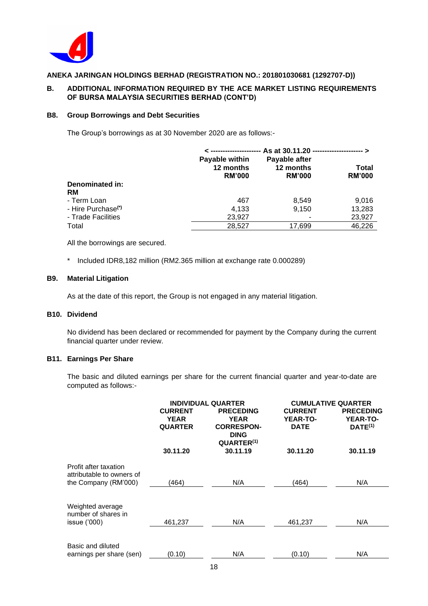

## **B. ADDITIONAL INFORMATION REQUIRED BY THE ACE MARKET LISTING REQUIREMENTS OF BURSA MALAYSIA SECURITIES BERHAD (CONT'D)**

#### **B8. Group Borrowings and Debt Securities**

The Group's borrowings as at 30 November 2020 are as follows:-

|                                |                                              | As at 30.11.20 ------------------------------> |                        |  |  |  |
|--------------------------------|----------------------------------------------|------------------------------------------------|------------------------|--|--|--|
|                                | Payable within<br>12 months<br><b>RM'000</b> | Payable after<br>12 months<br><b>RM'000</b>    | Total<br><b>RM'000</b> |  |  |  |
| Denominated in:                |                                              |                                                |                        |  |  |  |
| RM                             |                                              |                                                |                        |  |  |  |
| - Term Loan                    | 467                                          | 8,549                                          | 9,016                  |  |  |  |
| - Hire Purchase <sup>(*)</sup> | 4,133                                        | 9.150                                          | 13,283                 |  |  |  |
| - Trade Facilities             | 23,927                                       |                                                | 23,927                 |  |  |  |
| Total                          | 28.527                                       | 17,699                                         | 46,226                 |  |  |  |

All the borrowings are secured.

\* Included IDR8,182 million (RM2.365 million at exchange rate 0.000289)

#### **B9. Material Litigation**

As at the date of this report, the Group is not engaged in any material litigation.

# **B10. Dividend**

No dividend has been declared or recommended for payment by the Company during the current financial quarter under review.

## **B11. Earnings Per Share**

The basic and diluted earnings per share for the current financial quarter and year-to-date are computed as follows:-

|                                                                            | <b>INDIVIDUAL QUARTER</b><br><b>CURRENT</b><br><b>PRECEDING</b><br><b>YEAR</b><br><b>YEAR</b><br><b>QUARTER</b><br><b>CORRESPON-</b><br><b>DING</b><br>QUARTER <sup>(1)</sup> |          | <b>CUMULATIVE QUARTER</b><br><b>CURRENT</b><br><b>YEAR-TO-</b><br><b>DATE</b> | <b>PRECEDING</b><br><b>YEAR-TO-</b><br>$DATE^{(1)}$ |
|----------------------------------------------------------------------------|-------------------------------------------------------------------------------------------------------------------------------------------------------------------------------|----------|-------------------------------------------------------------------------------|-----------------------------------------------------|
|                                                                            | 30.11.20                                                                                                                                                                      | 30.11.19 | 30.11.20                                                                      | 30.11.19                                            |
| Profit after taxation<br>attributable to owners of<br>the Company (RM'000) | (464)                                                                                                                                                                         | N/A      | (464)                                                                         | N/A                                                 |
| Weighted average<br>number of shares in<br>issue ('000)                    | 461,237                                                                                                                                                                       | N/A      | 461,237                                                                       | N/A                                                 |
| Basic and diluted<br>earnings per share (sen)                              | (0.10)                                                                                                                                                                        | N/A      | (0.10)                                                                        | N/A                                                 |